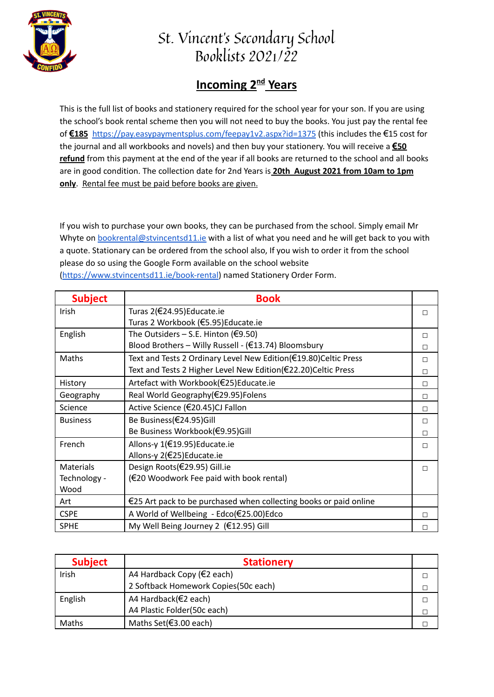

## St. Vincent's Secondary School Booklists 2021/22

## **Incoming 2<sup>nd</sup> Years**

This is the full list of books and stationery required for the school year for your son. If you are using the school's book rental scheme then you will not need to buy the books. You just pay the rental fee of **€185** <https://pay.easypaymentsplus.com/feepay1v2.aspx?id=1375> (this includes the €15 cost for the journal and all workbooks and novels) and then buy your stationery. You will receive a **€50 refund** from this payment at the end of the year if all books are returned to the school and all books are in good condition. The collection date for 2nd Years is **20th August 2021 from 10am to 1pm only**. Rental fee must be paid before books are given.

If you wish to purchase your own books, they can be purchased from the school. Simply email Mr Whyte on **[bookrental@stvincentsd11.ie](mailto:bookrental@stvincentsd11.ie)** with a list of what you need and he will get back to you with a quote. Stationary can be ordered from the school also, If you wish to order it from the school please do so using the Google Form available on the school website [\(https://www.stvincentsd11.ie/book-rental\)](https://www.stvincentsd11.ie/book-rental) named Stationery Order Form.

| <b>Subject</b>   | <b>Book</b>                                                                 |   |
|------------------|-----------------------------------------------------------------------------|---|
| Irish            | Turas 2(€24.95) Educate.ie                                                  | П |
|                  | Turas 2 Workbook (€5.95)Educate.ie                                          |   |
| English          | The Outsiders $-$ S.E. Hinton (€9.50)                                       | п |
|                  | Blood Brothers - Willy Russell - (€13.74) Bloomsbury                        | П |
| Maths            | Text and Tests 2 Ordinary Level New Edition(€19.80)Celtic Press             | П |
|                  | Text and Tests 2 Higher Level New Edition(€22.20)Celtic Press               | П |
| History          | Artefact with Workbook(€25)Educate.ie                                       | П |
| Geography        | Real World Geography(€29.95)Folens                                          | П |
| Science          | Active Science (€20.45)CJ Fallon                                            | П |
| <b>Business</b>  | Be Business(€24.95)Gill                                                     | П |
|                  | Be Business Workbook(€9.95)Gill                                             |   |
| French           | Allons-y 1(€19.95) Educate.ie                                               | П |
|                  | Allons-y 2(€25)Educate.ie                                                   |   |
| <b>Materials</b> | Design Roots(€29.95) Gill.ie                                                | П |
| Technology -     | (€20 Woodwork Fee paid with book rental)                                    |   |
| Wood             |                                                                             |   |
| Art              | $\epsilon$ 25 Art pack to be purchased when collecting books or paid online |   |
| <b>CSPE</b>      | A World of Wellbeing - Edco(€25.00)Edco                                     | П |
| <b>SPHE</b>      | My Well Being Journey 2 (€12.95) Gill                                       |   |

| <b>Subject</b> | <b>Stationery</b>                    |  |
|----------------|--------------------------------------|--|
| Irish          | A4 Hardback Copy ( $\in$ 2 each)     |  |
|                | 2 Softback Homework Copies(50c each) |  |
| English        | A4 Hardback(€2 each)                 |  |
|                | A4 Plastic Folder(50c each)          |  |
| Maths          | Maths Set(€3.00 each)                |  |